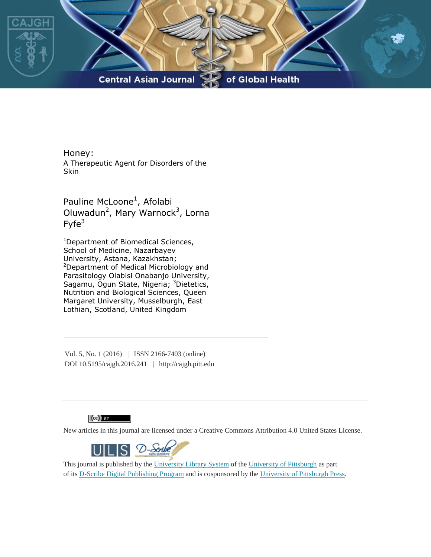

Honey: A Therapeutic Agent for Disorders of the Skin

Pauline McLoone<sup>1</sup>, Afolabi Oluwadun<sup>2</sup>, Mary Warnock<sup>3</sup>, Lorna  $Fvfe<sup>3</sup>$ 

<sup>1</sup>Department of Biomedical Sciences, School of Medicine, Nazarbayev University, Astana, Kazakhstan; <sup>2</sup>Department of Medical Microbiology and Parasitology Olabisi Onabanjo University, Sagamu, Ogun State, Nigeria; <sup>3</sup>Dietetics, Nutrition and Biological Sciences, Queen Margaret University, Musselburgh, East Lothian, Scotland, United Kingdom

Vol. 5, No. 1 (2016) | ISSN 2166-7403 (online) DOI 10.5195/cajgh.2016.241 | http://cajgh.pitt.edu



New articles in this journal are licensed under a Creative Commons Attribution 4.0 United States License.



This journal is published by the [University Library System](http://www.library.pitt.edu/) of the [University of Pittsburgh](http://www.pitt.edu/) as part of its [D-Scribe Digital Publishing](http://www.library.pitt.edu/articles/digpubtype/index.html) Program and is cosponsored by the [University of Pittsburgh Press.](http://www.upress.pitt.edu/upressIndex.aspx)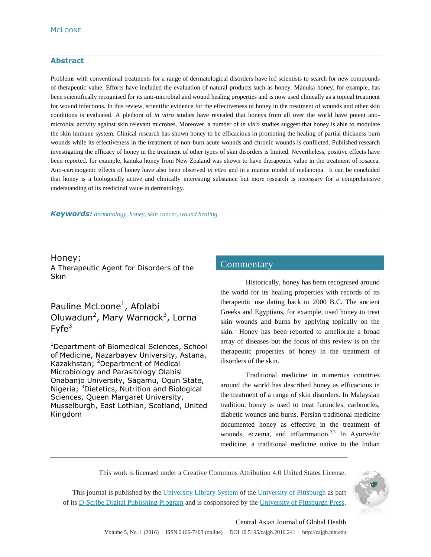#### **Abstract**

Problems with conventional treatments for a range of dermatological disorders have led scientists to search for new compounds of therapeutic value. Efforts have included the evaluation of natural products such as honey. Manuka honey, for example, has been scientifically recognised for its anti-microbial and wound healing properties and is now used clinically as a topical treatment for wound infections. In this review, scientific evidence for the effectiveness of honey in the treatment of wounds and other skin conditions is evaluated. A plethora of *in vitro* studies have revealed that honeys from all over the world have potent antimicrobial activity against skin relevant microbes. Moreover, a number of *in vitro* studies suggest that honey is able to modulate the skin immune system. Clinical research has shown honey to be efficacious in promoting the healing of partial thickness burn wounds while its effectiveness in the treatment of non-burn acute wounds and chronic wounds is conflicted. Published research investigating the efficacy of honey in the treatment of other types of skin disorders is limited. Nevertheless, positive effects have been reported, for example, kanuka honey from New Zealand was shown to have therapeutic value in the treatment of rosacea. Anti-carcinogenic effects of honey have also been observed *in vitro* and in a murine model of melanoma. It can be concluded that honey is a biologically active and clinically interesting substance but more research is necessary for a comprehensive understanding of its medicinal value in dermatology.

*Keywords: dermatology, honey, skin cancer, wound healing*

# Honey: A Therapeutic Agent for Disorders of the Skin

# Pauline McLoone<sup>1</sup>, Afolabi Oluwadun<sup>2</sup>, Mary Warnock<sup>3</sup>, Lorna  $Fyfe<sup>3</sup>$

<sup>1</sup>Department of Biomedical Sciences, School of Medicine, Nazarbayev University, Astana, Kazakhstan; <sup>2</sup>Department of Medical Microbiology and Parasitology Olabisi Onabanjo University, Sagamu, Ogun State, Nigeria; <sup>3</sup>Dietetics, Nutrition and Biological Sciences, Queen Margaret University, Musselburgh, East Lothian, Scotland, United Kingdom

### **Commentary**

Historically, honey has been recognised around the world for its healing properties with records of its therapeutic use dating back to 2000 B.C. The ancient Greeks and Egyptians, for example, used honey to treat skin wounds and burns by applying topically on the skin.<sup>1</sup> Honey has been reported to ameliorate a broad array of diseases but the focus of this review is on the therapeutic properties of honey in the treatment of disorders of the skin.

Traditional medicine in numerous countries around the world has described honey as efficacious in the treatment of a range of skin disorders. In Malaysian tradition, honey is used to treat furuncles, carbuncles, diabetic wounds and burns. Persian traditional medicine documented honey as effective in the treatment of wounds, eczema, and inflammation. $2,3$  In Ayurvedic medicine, a traditional medicine native to the Indian

This work is licensed under a Creative Commons Attribution 4.0 United States License.

This journal is published by the [University Library System](http://www.library.pitt.edu/) of the [University of Pittsburgh](http://www.pitt.edu/) as part of its [D-Scribe Digital Publishing Program](http://www.library.pitt.edu/articles/digpubtype/index.html) and is cosponsored by the [University of Pittsburgh Press.](http://www.upress.pitt.edu/upressIndex.aspx)

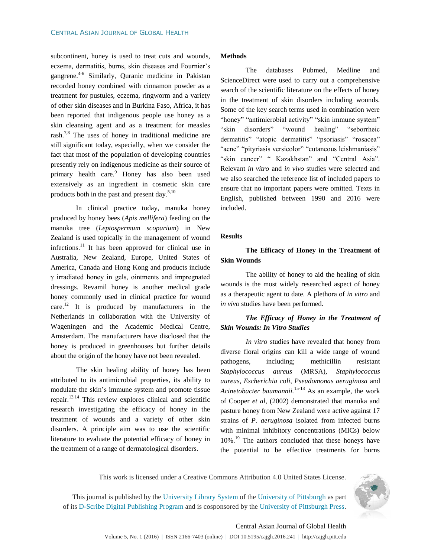subcontinent, honey is used to treat cuts and wounds, eczema, dermatitis, burns, skin diseases and Fournier's gangrene.<sup>4-6</sup> Similarly, Quranic medicine in Pakistan recorded honey combined with cinnamon powder as a treatment for pustules, eczema, ringworm and a variety of other skin diseases and in Burkina Faso, Africa, it has been reported that indigenous people use honey as a skin cleansing agent and as a treatment for measles rash.<sup>7,8</sup> The uses of honey in traditional medicine are still significant today, especially, when we consider the fact that most of the population of developing countries presently rely on indigenous medicine as their source of primary health care.<sup>9</sup> Honey has also been used extensively as an ingredient in cosmetic skin care products both in the past and present day.<sup>5,10</sup>

In clinical practice today, manuka honey produced by honey bees (*Apis mellifera*) feeding on the manuka tree (*Leptospermum scoparium*) in New Zealand is used topically in the management of wound infections.<sup>11</sup> It has been approved for clinical use in Australia, New Zealand, Europe, United States of America, Canada and Hong Kong and products include γ irradiated honey in gels, ointments and impregnated dressings. Revamil honey is another medical grade honey commonly used in clinical practice for wound care.<sup>12</sup> It is produced by manufacturers in the Netherlands in collaboration with the University of Wageningen and the Academic Medical Centre, Amsterdam. The manufacturers have disclosed that the honey is produced in greenhouses but further details about the origin of the honey have not been revealed.

The skin healing ability of honey has been attributed to its antimicrobial properties, its ability to modulate the skin's immune system and promote tissue repair.13,14 This review explores clinical and scientific research investigating the efficacy of honey in the treatment of wounds and a variety of other skin disorders. A principle aim was to use the scientific literature to evaluate the potential efficacy of honey in the treatment of a range of dermatological disorders.

#### **Methods**

The databases Pubmed, Medline and ScienceDirect were used to carry out a comprehensive search of the scientific literature on the effects of honey in the treatment of skin disorders including wounds. Some of the key search terms used in combination were "honey" "antimicrobial activity" "skin immune system" "skin disorders" "wound healing" "seborrheic dermatitis" "atopic dermatitis" "psoriasis" "rosacea" "acne" "pityriasis versicolor" "cutaneous leishmaniasis" "skin cancer" " Kazakhstan" and "Central Asia". Relevant *in vitro* and *in vivo* studies were selected and we also searched the reference list of included papers to ensure that no important papers were omitted. Texts in English, published between 1990 and 2016 were included.

### **Results**

**The Efficacy of Honey in the Treatment of Skin Wounds**

The ability of honey to aid the healing of skin wounds is the most widely researched aspect of honey as a therapeutic agent to date. A plethora of *in vitro* and *in vivo* studies have been performed.

# *The Efficacy of Honey in the Treatment of Skin Wounds: In Vitro Studies*

*In vitro* studies have revealed that honey from diverse floral origins can kill a wide range of wound pathogens, including; methicillin resistant *Staphylococcus aureus* (MRSA), *Staphylococcus aureus*, *Escherichia coli*, *Pseudomonas aeruginosa* and *Acinetobacter baumannii.*15-18 As an example, the work of Cooper *et al*, (2002) demonstrated that manuka and pasture honey from New Zealand were active against 17 strains of *P. aeruginosa* isolated from infected burns with minimal inhibitory concentrations (MICs) below  $10\%$ .<sup>19</sup> The authors concluded that these honeys have the potential to be effective treatments for burns

This work is licensed under a Creative Commons Attribution 4.0 United States License.

This journal is published by the [University Library System](http://www.library.pitt.edu/) of the [University of Pittsburgh](http://www.pitt.edu/) as part of its [D-Scribe Digital Publishing Program](http://www.library.pitt.edu/articles/digpubtype/index.html) and is cosponsored by the [University of Pittsburgh Press.](http://www.upress.pitt.edu/upressIndex.aspx)



### Central Asian Journal of Global Health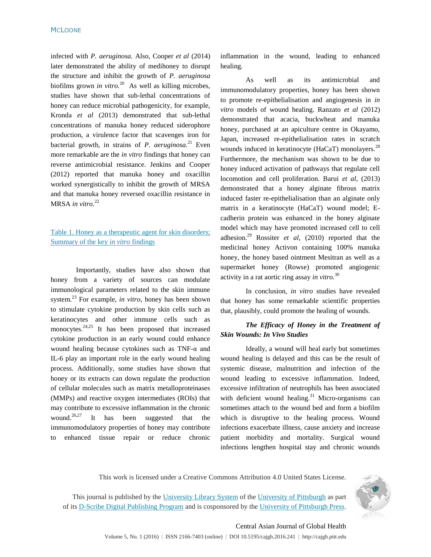infected with *P. aeruginosa.* Also, Cooper *et al* (2014) later demonstrated the ability of medihoney to disrupt the structure and inhibit the growth of *P. aeruginosa* biofilms grown *in vitro*.<sup>20</sup> As well as killing microbes, studies have shown that sub-lethal concentrations of honey can reduce microbial pathogenicity, for example, Kronda *et al* (2013) demonstrated that sub-lethal concentrations of manuka honey reduced siderophore production, a virulence factor that scavenges iron for bacterial growth, in strains of *P. aeruginosa*<sup>21</sup> Even more remarkable are the *in vitro* findings that honey can reverse antimicrobial resistance. Jenkins and Cooper (2012) reported that manuka honey and oxacillin worked synergistically to inhibit the growth of MRSA and that manuka honey reversed oxacillin resistance in MRSA *in vitro*. 22

## [Table 1. Honey as a therapeutic agent for skin disorders;](#page-13-0)  [Summary of the key](#page-13-0) *in vitro* findings

Importantly, studies have also shown that honey from a variety of sources can modulate immunological parameters related to the skin immune system.<sup>23</sup> For example, *in vitro*, honey has been shown to stimulate cytokine production by skin cells such as keratinocytes and other immune cells such as monocytes. $24,25$  It has been proposed that increased cytokine production in an early wound could enhance wound healing because cytokines such as  $TNF-\alpha$  and IL-6 play an important role in the early wound healing process. Additionally, some studies have shown that honey or its extracts can down regulate the production of cellular molecules such as matrix metalloproteinases (MMPs) and reactive oxygen intermediates (ROIs) that may contribute to excessive inflammation in the chronic wound.<sup>26,27</sup> It has been suggested that the immunomodulatory properties of honey may contribute to enhanced tissue repair or reduce chronic inflammation in the wound, leading to enhanced healing.

As well as its antimicrobial and immunomodulatory properties, honey has been shown to promote re-epithelialisation and angiogenesis in *in vitro* models of wound healing. Ranzato *et al* (2012) demonstrated that acacia, buckwheat and manuka honey, purchased at an apiculture centre in Okayamo, Japan, increased re-epithelialisation rates in scratch wounds induced in keratinocyte (HaCaT) monolayers.<sup>28</sup> Furthermore, the mechanism was shown to be due to honey induced activation of pathways that regulate cell locomotion and cell proliferation. Barui *et al*, (2013) demonstrated that a honey alginate fibrous matrix induced faster re-epithelialisation than an alginate only matrix in a keratinocyte (HaCaT) wound model; Ecadherin protein was enhanced in the honey alginate model which may have promoted increased cell to cell adhesion.<sup>29</sup> Rossiter *et al*, (2010) reported that the medicinal honey Activon containing 100% manuka honey, the honey based ointment Mesitran as well as a supermarket honey (Rowse) promoted angiogenic activity in a rat aortic ring assay *in vitro.*<sup>30</sup>

In conclusion, *in vitro* studies have revealed that honey has some remarkable scientific properties that, plausibly, could promote the healing of wounds.

### *The Efficacy of Honey in the Treatment of Skin Wounds: In Vivo Studies*

Ideally, a wound will heal early but sometimes wound healing is delayed and this can be the result of systemic disease, malnutrition and infection of the wound leading to excessive inflammation. Indeed, excessive infiltration of neutrophils has been associated with deficient wound healing. $31$  Micro-organisms can sometimes attach to the wound bed and form a biofilm which is disruptive to the healing process. Wound infections exacerbate illness, cause anxiety and increase patient morbidity and mortality. Surgical wound infections lengthen hospital stay and chronic wounds

This work is licensed under a Creative Commons Attribution 4.0 United States License.

This journal is published by the [University Library System](http://www.library.pitt.edu/) of the [University of Pittsburgh](http://www.pitt.edu/) as part of its [D-Scribe Digital Publishing Program](http://www.library.pitt.edu/articles/digpubtype/index.html) and is cosponsored by the [University of Pittsburgh Press.](http://www.upress.pitt.edu/upressIndex.aspx)



Central Asian Journal of Global Health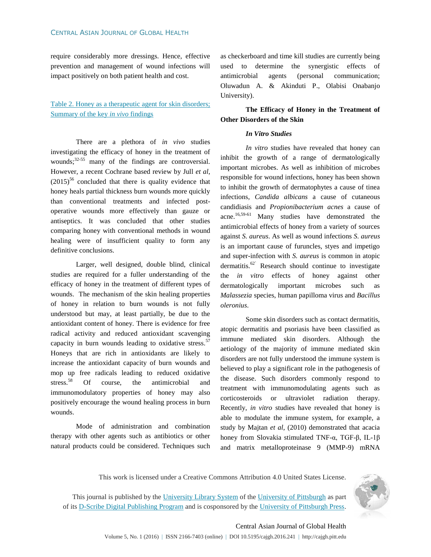require considerably more dressings. Hence, effective prevention and management of wound infections will impact positively on both patient health and cost.

## [Table 2. Honey as a therapeutic agent for skin disorders;](#page-14-0)  [Summary of the key](#page-14-0) *in vivo* findings

There are a plethora of *in vivo* studies investigating the efficacy of honey in the treatment of wounds;<sup>32-55</sup> many of the findings are controversial. However, a recent Cochrane based review by Jull *et al*,  $(2015)^{56}$  concluded that there is quality evidence that honey heals partial thickness burn wounds more quickly than conventional treatments and infected postoperative wounds more effectively than gauze or antiseptics. It was concluded that other studies comparing honey with conventional methods in wound healing were of insufficient quality to form any definitive conclusions.

Larger, well designed, double blind, clinical studies are required for a fuller understanding of the efficacy of honey in the treatment of different types of wounds. The mechanism of the skin healing properties of honey in relation to burn wounds is not fully understood but may, at least partially, be due to the antioxidant content of honey. There is evidence for free radical activity and reduced antioxidant scavenging capacity in burn wounds leading to oxidative stress.<sup>57</sup> Honeys that are rich in antioxidants are likely to increase the antioxidant capacity of burn wounds and mop up free radicals leading to reduced oxidative stress.<sup>58</sup> Of course, the antimicrobial and immunomodulatory properties of honey may also positively encourage the wound healing process in burn wounds.

Mode of administration and combination therapy with other agents such as antibiotics or other natural products could be considered. Techniques such as checkerboard and time kill studies are currently being used to determine the synergistic effects of antimicrobial agents (personal communication; Oluwadun A. & Akinduti P., Olabisi Onabanjo University).

### **The Efficacy of Honey in the Treatment of Other Disorders of the Skin**

#### *In Vitro Studies*

*In vitro* studies have revealed that honey can inhibit the growth of a range of dermatologically important microbes. As well as inhibition of microbes responsible for wound infections, honey has been shown to inhibit the growth of dermatophytes a cause of tinea infections, *Candida albicans* a cause of cutaneous candidiasis and *Propionibacterium acnes* a cause of acne.16,59-61 Many studies have demonstrated the antimicrobial effects of honey from a variety of sources against *S. aureus*. As well as wound infections *S. aureus* is an important cause of furuncles, styes and impetigo and super-infection with *S. aureus* is common in atopic dermatitis.<sup>62</sup> Research should continue to investigate the *in vitro* effects of honey against other dermatologically important microbes such as *Malassezia* species, human papilloma virus and *Bacillus oleronius*.

Some skin disorders such as contact dermatitis, atopic dermatitis and psoriasis have been classified as immune mediated skin disorders. Although the aetiology of the majority of immune mediated skin disorders are not fully understood the immune system is believed to play a significant role in the pathogenesis of the disease. Such disorders commonly respond to treatment with immunomodulating agents such as corticosteroids or ultraviolet radiation therapy. Recently, *in vitro* studies have revealed that honey is able to modulate the immune system, for example, a study by Majtan *et al*, (2010) demonstrated that acacia honey from Slovakia stimulated TNF-α, TGF-β, IL-1β and matrix metalloproteinase 9 (MMP-9) mRNA

This work is licensed under a Creative Commons Attribution 4.0 United States License.

This journal is published by the [University Library System](http://www.library.pitt.edu/) of the [University of Pittsburgh](http://www.pitt.edu/) as part of its [D-Scribe Digital Publishing Program](http://www.library.pitt.edu/articles/digpubtype/index.html) and is cosponsored by the [University of Pittsburgh Press.](http://www.upress.pitt.edu/upressIndex.aspx)

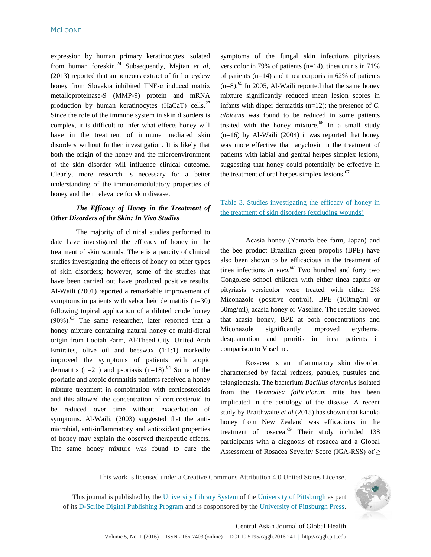expression by human primary keratinocytes isolated from human foreskin.<sup>24</sup> Subsequently, Majtan *et al*, (2013) reported that an aqueous extract of fir honeydew honey from Slovakia inhibited TNF-α induced matrix metalloproteinase-9 (MMP-9) protein and mRNA production by human keratinocytes (HaCaT) cells.<sup>27</sup> Since the role of the immune system in skin disorders is complex, it is difficult to infer what effects honey will have in the treatment of immune mediated skin disorders without further investigation. It is likely that both the origin of the honey and the microenvironment of the skin disorder will influence clinical outcome. Clearly, more research is necessary for a better understanding of the immunomodulatory properties of honey and their relevance for skin disease.

### *The Efficacy of Honey in the Treatment of Other Disorders of the Skin: In Vivo Studies*

The majority of clinical studies performed to date have investigated the efficacy of honey in the treatment of skin wounds. There is a paucity of clinical studies investigating the effects of honey on other types of skin disorders; however, some of the studies that have been carried out have produced positive results. Al-Waili (2001) reported a remarkable improvement of symptoms in patients with seborrheic dermatitis (n=30) following topical application of a diluted crude honey  $(90\%)$ .<sup>63</sup> The same researcher, later reported that a honey mixture containing natural honey of multi-floral origin from Lootah Farm, Al-Theed City, United Arab Emirates, olive oil and beeswax (1:1:1) markedly improved the symptoms of patients with atopic dermatitis (n=21) and psoriasis (n=18).<sup>64</sup> Some of the psoriatic and atopic dermatitis patients received a honey mixture treatment in combination with corticosteroids and this allowed the concentration of corticosteroid to be reduced over time without exacerbation of symptoms. Al-Waili, (2003) suggested that the antimicrobial, anti-inflammatory and antioxidant properties of honey may explain the observed therapeutic effects. The same honey mixture was found to cure the symptoms of the fungal skin infections pityriasis versicolor in 79% of patients (n=14), tinea cruris in 71% of patients  $(n=14)$  and tinea corporis in 62% of patients  $(n=8)$ <sup>65</sup> In 2005, Al-Waili reported that the same honey mixture significantly reduced mean lesion scores in infants with diaper dermatitis (n=12); the presence of *C. albicans* was found to be reduced in some patients treated with the honey mixture. $66$  In a small study (n=16) by Al-Waili (2004) it was reported that honey was more effective than acyclovir in the treatment of patients with labial and genital herpes simplex lesions, suggesting that honey could potentially be effective in the treatment of oral herpes simplex lesions. $67$ 

## [Table 3. Studies investigating the efficacy of honey in](#page-15-0)  [the treatment of skin disorders \(excluding wounds\)](#page-15-0)

Acasia honey (Yamada bee farm, Japan) and the bee product Brazilian green propolis (BPE) have also been shown to be efficacious in the treatment of tinea infections *in vivo.<sup>68</sup>* Two hundred and forty two Congolese school children with either tinea capitis or pityriasis versicolor were treated with either 2% Miconazole (positive control), BPE (100mg/ml or 50mg/ml), acasia honey or Vaseline. The results showed that acasia honey, BPE at both concentrations and Miconazole significantly improved erythema, desquamation and pruritis in tinea patients in comparison to Vaseline.

Rosacea is an inflammatory skin disorder, characterised by facial redness, papules, pustules and telangiectasia. The bacterium *Bacillus oleronius* isolated from the *Dermodex folliculorum* mite has been implicated in the aetiology of the disease. A recent study by Braithwaite *et al* (2015) has shown that kanuka honey from New Zealand was efficacious in the treatment of rosacea. $69$  Their study included 138 participants with a diagnosis of rosacea and a Global Assessment of Rosacea Severity Score (IGA-RSS) of  $\geq$ 

This work is licensed under a Creative Commons Attribution 4.0 United States License.

This journal is published by the [University Library System](http://www.library.pitt.edu/) of the [University of Pittsburgh](http://www.pitt.edu/) as part of its [D-Scribe Digital Publishing Program](http://www.library.pitt.edu/articles/digpubtype/index.html) and is cosponsored by the [University of Pittsburgh Press.](http://www.upress.pitt.edu/upressIndex.aspx)



Central Asian Journal of Global Health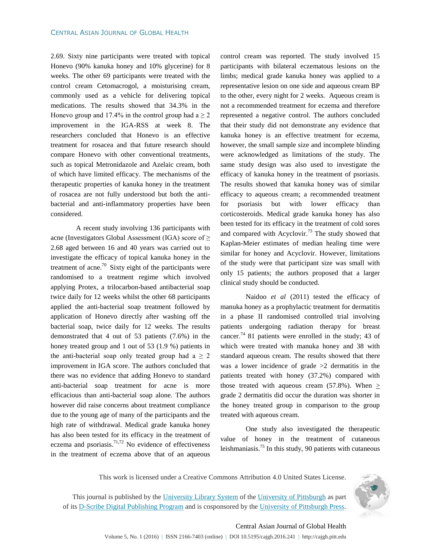2.69. Sixty nine participants were treated with topical Honevo (90% kanuka honey and 10% glycerine) for 8 weeks. The other 69 participants were treated with the control cream Cetomacrogol, a moisturising cream, commonly used as a vehicle for delivering topical medications. The results showed that 34.3% in the Honevo group and 17.4% in the control group had  $a \ge 2$ improvement in the IGA-RSS at week 8. The researchers concluded that Honevo is an effective treatment for rosacea and that future research should compare Honevo with other conventional treatments, such as topical Metronidazole and Azelaic cream, both of which have limited efficacy. The mechanisms of the therapeutic properties of kanuka honey in the treatment of rosacea are not fully understood but both the antibacterial and anti-inflammatory properties have been considered.

A recent study involving 136 participants with acne (Investigators Global Assessment (IGA) score of ≥ 2.68 aged between 16 and 40 years was carried out to investigate the efficacy of topical kanuka honey in the treatment of acne.<sup>70</sup> Sixty eight of the participants were randomised to a treatment regime which involved applying Protex, a trilocarbon-based antibacterial soap twice daily for 12 weeks whilst the other 68 participants applied the anti-bacterial soap treatment followed by application of Honevo directly after washing off the bacterial soap, twice daily for 12 weeks. The results demonstrated that 4 out of 53 patients (7.6%) in the honey treated group and 1 out of 53 (1.9 %) patients in the anti-bacterial soap only treated group had  $a \ge 2$ improvement in IGA score. The authors concluded that there was no evidence that adding Honevo to standard anti-bacterial soap treatment for acne is more efficacious than anti-bacterial soap alone. The authors however did raise concerns about treatment compliance due to the young age of many of the participants and the high rate of withdrawal. Medical grade kanuka honey has also been tested for its efficacy in the treatment of eczema and psoriasis. $71,72$  No evidence of effectiveness in the treatment of eczema above that of an aqueous control cream was reported. The study involved 15 participants with bilateral eczematous lesions on the limbs; medical grade kanuka honey was applied to a representative lesion on one side and aqueous cream BP to the other, every night for 2 weeks. Aqueous cream is not a recommended treatment for eczema and therefore represented a negative control. The authors concluded that their study did not demonstrate any evidence that kanuka honey is an effective treatment for eczema, however, the small sample size and incomplete blinding were acknowledged as limitations of the study. The same study design was also used to investigate the efficacy of kanuka honey in the treatment of psoriasis. The results showed that kanuka honey was of similar efficacy to aqueous cream; a recommended treatment for psoriasis but with lower efficacy than corticosteroids. Medical grade kanuka honey has also been tested for its efficacy in the treatment of cold sores and compared with Acyclovir.<sup>73</sup> The study showed that Kaplan-Meier estimates of median healing time were similar for honey and Acyclovir. However, limitations of the study were that participant size was small with only 15 patients; the authors proposed that a larger clinical study should be conducted.

Naidoo *et al* (2011) tested the efficacy of manuka honey as a prophylactic treatment for dermatitis in a phase II randomised controlled trial involving patients undergoing radiation therapy for breast cancer.<sup>74</sup> 81 patients were enrolled in the study; 43 of which were treated with manuka honey and 38 with standard aqueous cream. The results showed that there was a lower incidence of grade >2 dermatitis in the patients treated with honey (37.2%) compared with those treated with aqueous cream (57.8%). When  $\geq$ grade 2 dermatitis did occur the duration was shorter in the honey treated group in comparison to the group treated with aqueous cream.

One study also investigated the therapeutic value of honey in the treatment of cutaneous leishmaniasis.<sup>75</sup> In this study, 90 patients with cutaneous

This work is licensed under a Creative Commons Attribution 4.0 United States License.

This journal is published by the [University Library System](http://www.library.pitt.edu/) of the [University of Pittsburgh](http://www.pitt.edu/) as part of its [D-Scribe Digital Publishing Program](http://www.library.pitt.edu/articles/digpubtype/index.html) and is cosponsored by the [University of Pittsburgh Press.](http://www.upress.pitt.edu/upressIndex.aspx)



Central Asian Journal of Global Health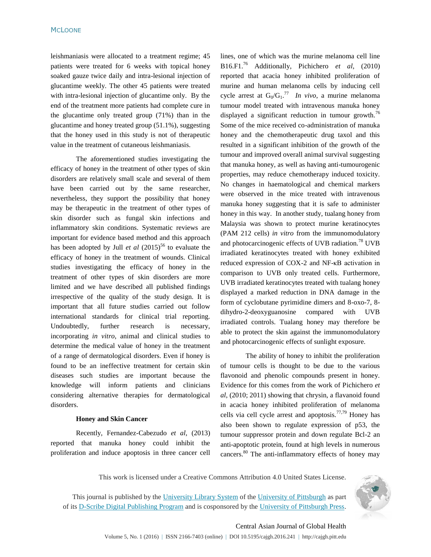leishmaniasis were allocated to a treatment regime; 45 patients were treated for 6 weeks with topical honey soaked gauze twice daily and intra-lesional injection of glucantime weekly. The other 45 patients were treated with intra-lesional injection of glucantime only. By the end of the treatment more patients had complete cure in the glucantime only treated group (71%) than in the glucantime and honey treated group (51.1%), suggesting that the honey used in this study is not of therapeutic value in the treatment of cutaneous leishmaniasis.

The aforementioned studies investigating the efficacy of honey in the treatment of other types of skin disorders are relatively small scale and several of them have been carried out by the same researcher, nevertheless, they support the possibility that honey may be therapeutic in the treatment of other types of skin disorder such as fungal skin infections and inflammatory skin conditions. Systematic reviews are important for evidence based method and this approach has been adopted by Jull *et al*  $(2015)^{56}$  to evaluate the efficacy of honey in the treatment of wounds. Clinical studies investigating the efficacy of honey in the treatment of other types of skin disorders are more limited and we have described all published findings irrespective of the quality of the study design. It is important that all future studies carried out follow international standards for clinical trial reporting. Undoubtedly, further research is necessary, incorporating *in vitro*, animal and clinical studies to determine the medical value of honey in the treatment of a range of dermatological disorders. Even if honey is found to be an ineffective treatment for certain skin diseases such studies are important because the knowledge will inform patients and clinicians considering alternative therapies for dermatological disorders.

#### **Honey and Skin Cancer**

Recently, Fernandez-Cabezudo *et al*, (2013) reported that manuka honey could inhibit the proliferation and induce apoptosis in three cancer cell

lines, one of which was the murine melanoma cell line B16.F1.<sup>76</sup> Additionally, Pichichero *et al*, (2010) reported that acacia honey inhibited proliferation of murine and human melanoma cells by inducing cell cycle arrest at  $G_0/G_1$ .<sup>77</sup> *In vivo*, a murine melanoma tumour model treated with intravenous manuka honey displayed a significant reduction in tumour growth.<sup>76</sup> Some of the mice received co-administration of manuka honey and the chemotherapeutic drug taxol and this resulted in a significant inhibition of the growth of the tumour and improved overall animal survival suggesting that manuka honey, as well as having anti-tumourogenic properties, may reduce chemotherapy induced toxicity. No changes in haematological and chemical markers were observed in the mice treated with intravenous manuka honey suggesting that it is safe to administer honey in this way. In another study, tualang honey from Malaysia was shown to protect murine keratinocytes (PAM 212 cells) *in vitro* from the immunomodulatory and photocarcinogenic effects of UVB radiation.<sup>78</sup> UVB irradiated keratinocytes treated with honey exhibited reduced expression of COX-2 and NF-κB activation in comparison to UVB only treated cells. Furthermore, UVB irradiated keratinocytes treated with tualang honey displayed a marked reduction in DNA damage in the form of cyclobutane pyrimidine dimers and 8-oxo-7, 8 dihydro-2-deoxyguanosine compared with UVB irradiated controls. Tualang honey may therefore be able to protect the skin against the immunomodulatory and photocarcinogenic effects of sunlight exposure.

The ability of honey to inhibit the proliferation of tumour cells is thought to be due to the various flavonoid and phenolic compounds present in honey. Evidence for this comes from the work of Pichichero *et al*, (2010; 2011) showing that chrysin, a flavanoid found in acacia honey inhibited proliferation of melanoma cells via cell cycle arrest and apoptosis.<sup>77,79</sup> Honey has also been shown to regulate expression of p53, the tumour suppressor protein and down regulate Bcl-2 an anti-apoptotic protein, found at high levels in numerous cancers.<sup>80</sup> The anti-inflammatory effects of honey may

This work is licensed under a Creative Commons Attribution 4.0 United States License.

This journal is published by the [University Library System](http://www.library.pitt.edu/) of the [University of Pittsburgh](http://www.pitt.edu/) as part of its [D-Scribe Digital Publishing Program](http://www.library.pitt.edu/articles/digpubtype/index.html) and is cosponsored by the [University of Pittsburgh Press.](http://www.upress.pitt.edu/upressIndex.aspx)



Central Asian Journal of Global Health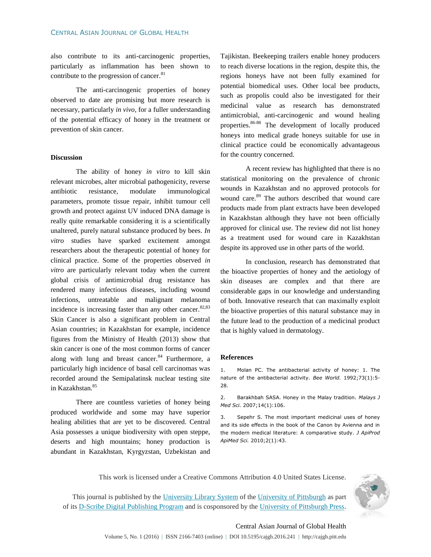also contribute to its anti-carcinogenic properties, particularly as inflammation has been shown to contribute to the progression of cancer.<sup>81</sup>

The anti-carcinogenic properties of honey observed to date are promising but more research is necessary, particularly *in vivo*, for a fuller understanding of the potential efficacy of honey in the treatment or prevention of skin cancer.

#### **Discussion**

The ability of honey *in vitro* to kill skin relevant microbes, alter microbial pathogenicity, reverse antibiotic resistance, modulate immunological parameters, promote tissue repair, inhibit tumour cell growth and protect against UV induced DNA damage is really quite remarkable considering it is a scientifically unaltered, purely natural substance produced by bees. *In vitro* studies have sparked excitement amongst researchers about the therapeutic potential of honey for clinical practice. Some of the properties observed *in vitro* are particularly relevant today when the current global crisis of antimicrobial drug resistance has rendered many infectious diseases, including wound infections, untreatable and malignant melanoma incidence is increasing faster than any other cancer. $82,83$ Skin Cancer is also a significant problem in Central Asian countries; in Kazakhstan for example, incidence figures from the Ministry of Health (2013) show that skin cancer is one of the most common forms of cancer along with lung and breast cancer. $84$  Furthermore, a particularly high incidence of basal cell carcinomas was recorded around the Semipalatinsk nuclear testing site in Kazakhstan.<sup>85</sup>

There are countless varieties of honey being produced worldwide and some may have superior healing abilities that are yet to be discovered. Central Asia possesses a unique biodiversity with open steppe, deserts and high mountains; honey production is abundant in Kazakhstan, Kyrgyzstan, Uzbekistan and

Tajikistan. Beekeeping trailers enable honey producers to reach diverse locations in the region, despite this, the regions honeys have not been fully examined for potential biomedical uses. Other local bee products, such as propolis could also be investigated for their medicinal value as research has demonstrated antimicrobial, anti-carcinogenic and wound healing properties.86-88 The development of locally produced honeys into medical grade honeys suitable for use in clinical practice could be economically advantageous for the country concerned.

A recent review has highlighted that there is no statistical monitoring on the prevalence of chronic wounds in Kazakhstan and no approved protocols for wound care.<sup>89</sup> The authors described that wound care products made from plant extracts have been developed in Kazakhstan although they have not been officially approved for clinical use. The review did not list honey as a treatment used for wound care in Kazakhstan despite its approved use in other parts of the world.

In conclusion, research has demonstrated that the bioactive properties of honey and the aetiology of skin diseases are complex and that there are considerable gaps in our knowledge and understanding of both. Innovative research that can maximally exploit the bioactive properties of this natural substance may in the future lead to the production of a medicinal product that is highly valued in dermatology.

#### **References**

1. Molan PC. The antibacterial activity of honey: 1. The nature of the antibacterial activity. *Bee World.* 1992;73(1):5- 28.

2. Barakhbah SASA. Honey in the Malay tradition. *Malays J Med Sci.* 2007;14(1):106.

3. Sepehr S. The most important medicinal uses of honey and its side effects in the book of the Canon by Avienna and in the modern medical literature: A comparative study. *J ApiProd ApiMed Sci.* 2010;2(1):43.

This work is licensed under a Creative Commons Attribution 4.0 United States License.

This journal is published by the [University Library System](http://www.library.pitt.edu/) of the [University of Pittsburgh](http://www.pitt.edu/) as part of its [D-Scribe Digital Publishing Program](http://www.library.pitt.edu/articles/digpubtype/index.html) and is cosponsored by the [University of Pittsburgh Press.](http://www.upress.pitt.edu/upressIndex.aspx)

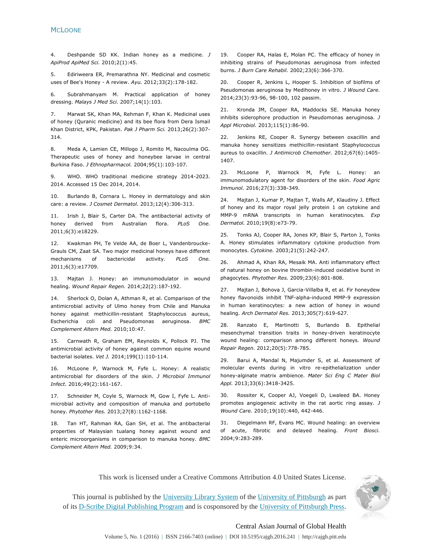#### **MCLOONE**

4. Deshpande SD KK. Indian honey as a medicine. *J ApiProd ApiMed Sci.* 2010;2(1):45.

5. Ediriweera ER, Premarathna NY. Medicinal and cosmetic uses of Bee's Honey - A review. *Ayu.* 2012;33(2):178-182.

6. Subrahmanyam M. Practical application of honey dressing. *Malays J Med Sci.* 2007;14(1):103.

7. Marwat SK, Khan MA, Rehman F, Khan K. Medicinal uses of honey (Quranic medicine) and its bee flora from Dera Ismail Khan District, KPK, Pakistan. *Pak J Pharm Sci.* 2013;26(2):307- 314.

8. Meda A, Lamien CE, Millogo J, Romito M, Nacoulma OG. Therapeutic uses of honey and honeybee larvae in central Burkina Faso. *J Ethnopharmacol.* 2004;95(1):103-107.

9. WHO. WHO traditional medicine strategy 2014-2023. 2014. Accessed 15 Dec 2014, 2014.

10. Burlando B, Cornara L. Honey in dermatology and skin care: a review. *J Cosmet Dermatol.* 2013;12(4):306-313.

11. Irish J, Blair S, Carter DA. The antibacterial activity of honey derived from Australian flora. *PLoS One.*  2011;6(3):e18229.

12. Kwakman PH, Te Velde AA, de Boer L, Vandenbroucke-Grauls CM, Zaat SA. Two major medicinal honeys have different mechanisms of bactericidal activity. *PLoS One.*  2011;6(3):e17709.

13. Majtan J. Honey: an immunomodulator in wound healing. *Wound Repair Regen.* 2014;22(2):187-192.

14. Sherlock O, Dolan A, Athman R, et al. Comparison of the antimicrobial activity of Ulmo honey from Chile and Manuka honey against methicillin-resistant Staphylococcus aureus, Escherichia coli and Pseudomonas aeruginosa. *BMC Complement Altern Med.* 2010;10:47.

15. Carnwath R, Graham EM, Reynolds K, Pollock PJ. The antimicrobial activity of honey against common equine wound bacterial isolates. *Vet J.* 2014;199(1):110-114.

16. McLoone P, Warnock M, Fyfe L. Honey: A realistic antimicrobial for disorders of the skin. *J Microbiol Immunol Infect.* 2016;49(2):161-167.

17. Schneider M, Coyle S, Warnock M, Gow I, Fyfe L. Antimicrobial activity and composition of manuka and portobello honey. *Phytother Res.* 2013;27(8):1162-1168.

Tan HT, Rahman RA, Gan SH, et al. The antibacterial properties of Malaysian tualang honey against wound and enteric microorganisms in comparison to manuka honey. *BMC Complement Altern Med.* 2009;9:34.

19. Cooper RA, Halas E, Molan PC. The efficacy of honey in inhibiting strains of Pseudomonas aeruginosa from infected burns. *J Burn Care Rehabil.* 2002;23(6):366-370.

20. Cooper R, Jenkins L, Hooper S. Inhibition of biofilms of Pseudomonas aeruginosa by Medihoney in vitro. *J Wound Care.*  2014;23(3):93-96, 98-100, 102 passim.

21. Kronda JM, Cooper RA, Maddocks SE. Manuka honey inhibits siderophore production in Pseudomonas aeruginosa. *J Appl Microbiol.* 2013;115(1):86-90.

22. Jenkins RE, Cooper R. Synergy between oxacillin and manuka honey sensitizes methicillin-resistant Staphylococcus aureus to oxacillin. *J Antimicrob Chemother.* 2012;67(6):1405- 1407.

23. McLoone P, Warnock M, Fyfe L. Honey: an immunomodulatory agent for disorders of the skin. *Food Agric Immunol.* 2016;27(3):338-349.

24. Majtan J, Kumar P, Majtan T, Walls AF, Klaudiny J. Effect of honey and its major royal jelly protein 1 on cytokine and MMP-9 mRNA transcripts in human keratinocytes. *Exp Dermatol.* 2010;19(8):e73-79.

25. Tonks AJ, Cooper RA, Jones KP, Blair S, Parton J, Tonks A. Honey stimulates inflammatory cytokine production from monocytes. *Cytokine.* 2003;21(5):242-247.

26. Ahmad A, Khan RA, Mesaik MA. Anti inflammatory effect of natural honey on bovine thrombin-induced oxidative burst in phagocytes. *Phytother Res.* 2009;23(6):801-808.

27. Majtan J, Bohova J, Garcia-Villalba R, et al. Fir honeydew honey flavonoids inhibit TNF-alpha-induced MMP-9 expression in human keratinocytes: a new action of honey in wound healing. *Arch Dermatol Res.* 2013;305(7):619-627.

28. Ranzato E, Martinotti S, Burlando B. Epithelial mesenchymal transition traits in honey-driven keratinocyte wound healing: comparison among different honeys. *Wound Repair Regen.* 2012;20(5):778-785.

29. Barui A, Mandal N, Majumder S, et al. Assessment of molecular events during in vitro re-epithelialization under honey-alginate matrix ambience. *Mater Sci Eng C Mater Biol Appl.* 2013;33(6):3418-3425.

30. Rossiter K, Cooper AJ, Voegeli D, Lwaleed BA. Honey promotes angiogeneic activity in the rat aortic ring assay. *J Wound Care.* 2010;19(10):440, 442-446.

31. Diegelmann RF, Evans MC. Wound healing: an overview of acute, fibrotic and delayed healing. *Front Biosci.*  2004;9:283-289.

This work is licensed under a Creative Commons Attribution 4.0 United States License.



This journal is published by the [University Library System](http://www.library.pitt.edu/) of the [University of Pittsburgh](http://www.pitt.edu/) as part of its [D-Scribe Digital Publishing Program](http://www.library.pitt.edu/articles/digpubtype/index.html) and is cosponsored by the [University of Pittsburgh Press.](http://www.upress.pitt.edu/upressIndex.aspx)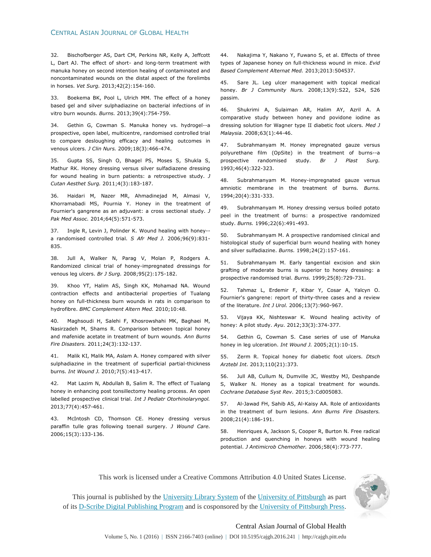32. Bischofberger AS, Dart CM, Perkins NR, Kelly A, Jeffcott L, Dart AJ. The effect of short- and long-term treatment with manuka honey on second intention healing of contaminated and noncontaminated wounds on the distal aspect of the forelimbs in horses. *Vet Surg.* 2013;42(2):154-160.

33. Boekema BK, Pool L, Ulrich MM. The effect of a honey based gel and silver sulphadiazine on bacterial infections of in vitro burn wounds. *Burns.* 2013;39(4):754-759.

34. Gethin G, Cowman S. Manuka honey vs. hydrogel--a prospective, open label, multicentre, randomised controlled trial to compare desloughing efficacy and healing outcomes in venous ulcers. *J Clin Nurs.* 2009;18(3):466-474.

35. Gupta SS, Singh O, Bhagel PS, Moses S, Shukla S, Mathur RK. Honey dressing versus silver sulfadiazene dressing for wound healing in burn patients: a retrospective study. *J Cutan Aesthet Surg.* 2011;4(3):183-187.

36. Haidari M, Nazer MR, Ahmadinejad M, Almasi V, Khorramabadi MS, Pournia Y. Honey in the treatment of Fournier's gangrene as an adjuvant: a cross sectional study. *J Pak Med Assoc.* 2014;64(5):571-573.

37. Ingle R, Levin J, Polinder K. Wound healing with honey- a randomised controlled trial. *S Afr Med J.* 2006;96(9):831- 835.

38. Jull A, Walker N, Parag V, Molan P, Rodgers A. Randomized clinical trial of honey-impregnated dressings for venous leg ulcers. *Br J Surg.* 2008;95(2):175-182.

39. Khoo YT, Halim AS, Singh KK, Mohamad NA. Wound contraction effects and antibacterial properties of Tualang honey on full-thickness burn wounds in rats in comparison to hydrofibre. *BMC Complement Altern Med.* 2010;10:48.

40. Maghsoudi H, Salehi F, Khosrowshahi MK, Baghaei M, Nasirzadeh M, Shams R. Comparison between topical honey and mafenide acetate in treatment of burn wounds*. Ann Burns Fire Disasters.* 2011;24(3):132-137.

41. Malik KI, Malik MA, Aslam A. Honey compared with silver sulphadiazine in the treatment of superficial partial-thickness burns. *Int Wound J.* 2010;7(5):413-417.

42. Mat Lazim N, Abdullah B, Salim R. The effect of Tualang honey in enhancing post tonsillectomy healing process. An open labelled prospective clinical trial. *Int J Pediatr Otorhinolaryngol.*  2013;77(4):457-461.

43. McIntosh CD, Thomson CE. Honey dressing versus paraffin tulle gras following toenail surgery. *J Wound Care.*  2006;15(3):133-136.

Nakajima Y, Nakano Y, Fuwano S, et al. Effects of three types of Japanese honey on full-thickness wound in mice. *Evid Based Complement Alternat Med.* 2013;2013:504537.

45. Sare JL. Leg ulcer management with topical medical honey. *Br J Community Nurs.* 2008;13(9):S22, S24, S26 passim.

46. Shukrimi A, Sulaiman AR, Halim AY, Azril A. A comparative study between honey and povidone iodine as dressing solution for Wagner type II diabetic foot ulcers. *Med J Malaysia.* 2008;63(1):44-46.

47. Subrahmanyam M. Honey impregnated gauze versus polyurethane film (OpSite) in the treatment of burns--a prospective randomised study. *Br J Plast Surg.*  1993;46(4):322-323.

48. Subrahmanyam M. Honey-impregnated gauze versus amniotic membrane in the treatment of burns. *Burns.*  1994;20(4):331-333.

49. Subrahmanyam M. Honey dressing versus boiled potato peel in the treatment of burns: a prospective randomized study. *Burns.* 1996;22(6):491-493.

50. Subrahmanyam M. A prospective randomised clinical and histological study of superficial burn wound healing with honey and silver sulfadiazine. *Burns.* 1998;24(2):157-161.

51. Subrahmanyam M. Early tangential excision and skin grafting of moderate burns is superior to honey dressing: a prospective randomised trial. *Burns.* 1999;25(8):729-731.

52. Tahmaz L, Erdemir F, Kibar Y, Cosar A, Yalcyn O. Fournier's gangrene: report of thirty-three cases and a review of the literature. *Int J Urol.* 2006;13(7):960-967.

53. Vijaya KK, Nishteswar K. Wound healing activity of honey: A pilot study. *Ayu.* 2012;33(3):374-377.

54. Gethin G, Cowman S. Case series of use of Manuka honey in leg ulceration. *Int Wound J.* 2005;2(1):10-15.

55. Zerm R. Topical honey for diabetic foot ulcers. *Dtsch Arztebl Int.* 2013;110(21):373.

56. Jull AB, Cullum N, Dumville JC, Westby MJ, Deshpande S, Walker N. Honey as a topical treatment for wounds. *Cochrane Database Syst Rev.* 2015;3:Cd005083.

57. Al-Jawad FH, Sahib AS, Al-Kaisy AA. Role of antioxidants in the treatment of burn lesions. *Ann Burns Fire Disasters.*  2008;21(4):186-191.

58. Henriques A, Jackson S, Cooper R, Burton N. Free radical production and quenching in honeys with wound healing potential. *J Antimicrob Chemother.* 2006;58(4):773-777.

This work is licensed under a Creative Commons Attribution 4.0 United States License.



This journal is published by the [University Library System](http://www.library.pitt.edu/) of the [University of Pittsburgh](http://www.pitt.edu/) as part of its [D-Scribe Digital Publishing Program](http://www.library.pitt.edu/articles/digpubtype/index.html) and is cosponsored by the [University of Pittsburgh Press.](http://www.upress.pitt.edu/upressIndex.aspx)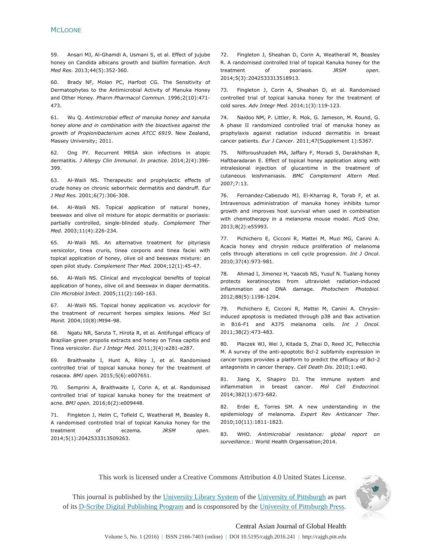59. Ansari MJ, Al-Ghamdi A, Usmani S, et al. Effect of jujube honey on Candida albicans growth and biofilm formation. *Arch Med Res.* 2013;44(5):352-360.

60. Brady NF, Molan PC, Harfoot CG. The Sensitivity of Dermatophytes to the Antimicrobial Activity of Manuka Honey and Other Honey. *Pharm Pharmacol Commun.* 1996;2(10):471- 473.

61. Wu Q. *Antimicrobial effect of manuka honey and kanuka honey alone and in combination with the bioactives against the growth of Propionibacterium acnes ATCC 6919*. New Zealand, Massey University; 2011.

62. Ong PY. Recurrent MRSA skin infections in atopic dermatitis. *J Allergy Clin Immunol. In practice.* 2014;2(4):396- 399.

63. Al-Waili NS. Therapeutic and prophylactic effects of crude honey on chronic seborrheic dermatitis and dandruff. *Eur J Med Res.* 2001;6(7):306-308.

64. Al-Waili NS. Topical application of natural honey, beeswax and olive oil mixture for atopic dermatitis or psoriasis: partially controlled, single-blinded study. *Complement Ther Med.* 2003;11(4):226-234.

65. Al-Waili NS. An alternative treatment for pityriasis versicolor, tinea cruris, tinea corporis and tinea faciei with topical application of honey, olive oil and beeswax mixture: an open pilot study. *Complement Ther Med.* 2004;12(1):45-47.

66. Al-Waili NS. Clinical and mycological benefits of topical application of honey, olive oil and beeswax in diaper dermatitis. *Clin Microbiol Infect.* 2005;11(2):160-163.

67. Al-Waili NS. Topical honey application vs. acyclovir for the treatment of recurrent herpes simplex lesions. *Med Sci Monit.* 2004;10(8):Mt94-98.

68. Ngatu NR, Saruta T, Hirota R, et al. Antifungal efficacy of Brazilian green propolis extracts and honey on Tinea capitis and Tinea versicolor. *Eur J Integr Med.* 2011;3(4):e281-e287.

69. Braithwaite I, Hunt A, Riley J, et al. Randomised controlled trial of topical kanuka honey for the treatment of rosacea. *BMJ open.* 2015;5(6):e007651.

70. Semprini A, Braithwaite I, Corin A, et al. Randomised controlled trial of topical kanuka honey for the treatment of acne. *BMJ open.* 2016;6(2):e009448.

71. Fingleton J, Helm C, Tofield C, Weatherall M, Beasley R. A randomised controlled trial of topical Kanuka honey for the treatment of eczema. *JRSM open.*  2014;5(1):2042533313509263.

72. Fingleton J, Sheahan D, Corin A, Weatherall M, Beasley R. A randomised controlled trial of topical Kanuka honey for the treatment of psoriasis. *JRSM open.*  2014;5(3):2042533313518913.

73. Fingleton J, Corin A, Sheahan D, et al. Randomised controlled trial of topical kanuka honey for the treatment of cold sores. *Adv Integr Med.* 2014;1(3):119-123.

74. Naidoo NM, P. Littler, R. Mok, G. Jameson, M. Round, G. A phase II randomized controlled trial of manuka honey as prophylaxis against radiation induced dermatitis in breast cancer patients. *Eur J Cancer.* 2011;47(Supplement 1):S367.

75. Nilforoushzadeh MA, Jaffary F, Moradi S, Derakhshan R, Haftbaradaran E. Effect of topical honey application along with intralesional injection of glucantime in the treatment of cutaneous leishmaniasis. *BMC Complement Altern Med.* 2007;7:13.

76. Fernandez-Cabezudo MJ, El-Kharrag R, Torab F, et al. Intravenous administration of manuka honey inhibits tumor growth and improves host survival when used in combination with chemotherapy in a melanoma mouse model. *PLoS One.*  2013;8(2):e55993.

77. Pichichero E, Cicconi R, Mattei M, Muzi MG, Canini A. Acacia honey and chrysin reduce proliferation of melanoma cells through alterations in cell cycle progression. *Int J Oncol.*  2010;37(4):973-981.

78. Ahmad I, Jimenez H, Yaacob NS, Yusuf N. Tualang honey protects keratinocytes from ultraviolet radiation-induced inflammation and DNA damage. *Photochem Photobiol.*  2012;88(5):1198-1204.

79. Pichichero E, Cicconi R, Mattei M, Canini A. Chrysininduced apoptosis is mediated through p38 and Bax activation in B16-F1 and A375 melanoma cells. *Int J Oncol.*  2011;38(2):473-483.

80. Placzek WJ, Wei J, Kitada S, Zhai D, Reed JC, Pellecchia M. A survey of the anti-apoptotic Bcl-2 subfamily expression in cancer types provides a platform to predict the efficacy of Bcl-2 antagonists in cancer therapy. *Cell Death Dis.* 2010;1:e40.

81. Jiang X, Shapiro DJ. The immune system and inflammation in breast cancer. *Mol Cell Endocrinol.*  2014;382(1):673-682.

82. Erdei E, Torres SM. A new understanding in the epidemiology of melanoma. *Expert Rev Anticancer Ther.*  2010;10(11):1811-1823.

83. WHO. *Antimicrobial resistance: global report on surveillance.*: World Health Organisation;2014.

This work is licensed under a Creative Commons Attribution 4.0 United States License.



This journal is published by the [University Library System](http://www.library.pitt.edu/) of the [University of Pittsburgh](http://www.pitt.edu/) as part of its [D-Scribe Digital Publishing Program](http://www.library.pitt.edu/articles/digpubtype/index.html) and is cosponsored by the [University of Pittsburgh Press.](http://www.upress.pitt.edu/upressIndex.aspx)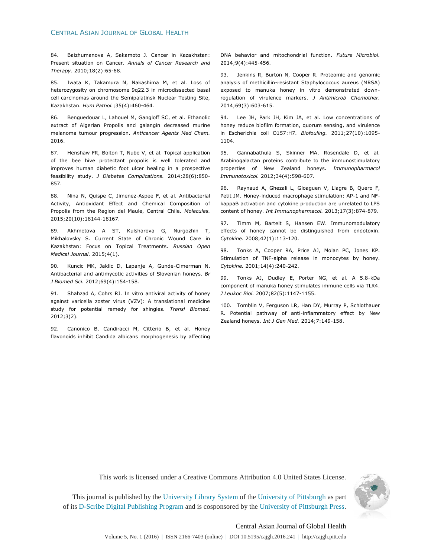84. Baizhumanova A, Sakamoto J. Cancer in Kazakhstan: Present situation on Cancer. *Annals of Cancer Research and Therapy.* 2010;18(2):65-68.

85. Iwata K, Takamura N, Nakashima M, et al. Loss of heterozygosity on chromosome 9q22.3 in microdissected basal cell carcinomas around the Semipalatinsk Nuclear Testing Site, Kazakhstan. *Hum Pathol.*;35(4):460-464.

86. Benguedouar L, Lahouel M, Gangloff SC, et al. Ethanolic extract of Algerian Propolis and galangin decreased murine melanoma tumour progression. *Anticancer Agents Med Chem.*  2016.

87. Henshaw FR, Bolton T, Nube V, et al. Topical application of the bee hive protectant propolis is well tolerated and improves human diabetic foot ulcer healing in a prospective feasibility study. *J Diabetes Complications.* 2014;28(6):850- 857.

88. Nina N, Quispe C, Jimenez-Aspee F, et al. Antibacterial Activity, Antioxidant Effect and Chemical Composition of Propolis from the Region del Maule, Central Chile. *Molecules.*  2015;20(10):18144-18167.

89. Akhmetova A ST, Kulsharova G, Nurgozhin T, Mikhalovsky S. Current State of Chronic Wound Care in Kazakhstan: Focus on Topical Treatments. *Russian Open Medical Journal.* 2015;4(1).

90. Kuncic MK, Jaklic D, Lapanje A, Gunde-Cimerman N. Antibacterial and antimycotic activities of Slovenian honeys. *Br J Biomed Sci.* 2012;69(4):154-158.

91. Shahzad A, Cohrs RJ. In vitro antiviral activity of honey against varicella zoster virus (VZV): A translational medicine study for potential remedy for shingles. *Transl Biomed.*  2012;3(2).

92. Canonico B, Candiracci M, Citterio B, et al. Honey flavonoids inhibit Candida albicans morphogenesis by affecting

DNA behavior and mitochondrial function. *Future Microbiol.*  2014;9(4):445-456.

93. Jenkins R, Burton N, Cooper R. Proteomic and genomic analysis of methicillin-resistant Staphylococcus aureus (MRSA) exposed to manuka honey in vitro demonstrated downregulation of virulence markers. *J Antimicrob Chemother.*  2014;69(3):603-615.

94. Lee JH, Park JH, Kim JA, et al. Low concentrations of honey reduce biofilm formation, quorum sensing, and virulence in Escherichia coli O157:H7. *Biofouling.* 2011;27(10):1095- 1104.

95. Gannabathula S, Skinner MA, Rosendale D, et al. Arabinogalactan proteins contribute to the immunostimulatory properties of New Zealand honeys. *Immunopharmacol Immunotoxicol.* 2012;34(4):598-607.

96. Raynaud A, Ghezali L, Gloaguen V, Liagre B, Quero F, Petit JM. Honey-induced macrophage stimulation: AP-1 and NFkappaB activation and cytokine production are unrelated to LPS content of honey. *Int Immunopharmacol.* 2013;17(3):874-879.

97. Timm M, Bartelt S, Hansen EW. Immunomodulatory effects of honey cannot be distinguished from endotoxin. *Cytokine.* 2008;42(1):113-120.

98. Tonks A, Cooper RA, Price AJ, Molan PC, Jones KP. Stimulation of TNF-alpha release in monocytes by honey. *Cytokine.* 2001;14(4):240-242.

99. Tonks AJ, Dudley E, Porter NG, et al. A 5.8-kDa component of manuka honey stimulates immune cells via TLR4. *J Leukoc Biol.* 2007;82(5):1147-1155.

100. Tomblin V, Ferguson LR, Han DY, Murray P, Schlothauer R. Potential pathway of anti-inflammatory effect by New Zealand honeys. *Int J Gen Med.* 2014;7:149-158.

This work is licensed under a Creative Commons Attribution 4.0 United States License.



This journal is published by the [University Library System](http://www.library.pitt.edu/) of the [University of Pittsburgh](http://www.pitt.edu/) as part of its [D-Scribe Digital Publishing Program](http://www.library.pitt.edu/articles/digpubtype/index.html) and is cosponsored by the [University of Pittsburgh Press.](http://www.upress.pitt.edu/upressIndex.aspx)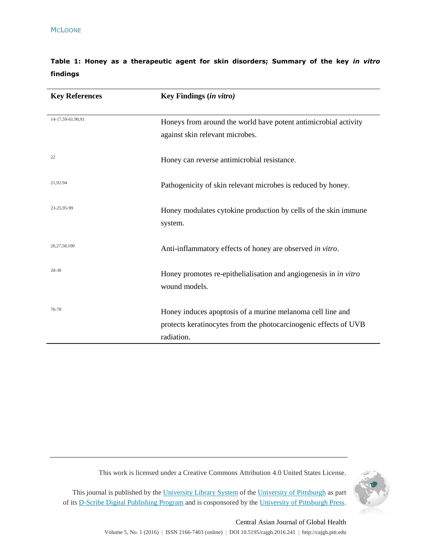| <b>Key References</b> | Key Findings (in vitro)                                                                                                                      |  |  |  |  |
|-----------------------|----------------------------------------------------------------------------------------------------------------------------------------------|--|--|--|--|
| 14-17,59-61,90,91     | Honeys from around the world have potent antimicrobial activity<br>against skin relevant microbes.                                           |  |  |  |  |
| 22                    | Honey can reverse antimicrobial resistance.                                                                                                  |  |  |  |  |
| 21,92-94              | Pathogenicity of skin relevant microbes is reduced by honey.                                                                                 |  |  |  |  |
| 23-25,95-99           | Honey modulates cytokine production by cells of the skin immune<br>system.                                                                   |  |  |  |  |
| 26, 27, 58, 100       | Anti-inflammatory effects of honey are observed in vitro.                                                                                    |  |  |  |  |
| 28-30                 | Honey promotes re-epithelialisation and angiogenesis in in vitro<br>wound models.                                                            |  |  |  |  |
| 76-78                 | Honey induces apoptosis of a murine melanoma cell line and<br>protects keratinocytes from the photocarcinogenic effects of UVB<br>radiation. |  |  |  |  |

<span id="page-13-0"></span>**Table 1: Honey as a therapeutic agent for skin disorders; Summary of the key** *in vitro* **findings**

This work is licensed under a Creative Commons Attribution 4.0 United States License.



This journal is published by the [University Library System](http://www.library.pitt.edu/) of the [University of Pittsburgh](http://www.pitt.edu/) as part of its [D-Scribe Digital Publishing Program](http://www.library.pitt.edu/articles/digpubtype/index.html) and is cosponsored by the [University of Pittsburgh Press.](http://www.upress.pitt.edu/upressIndex.aspx)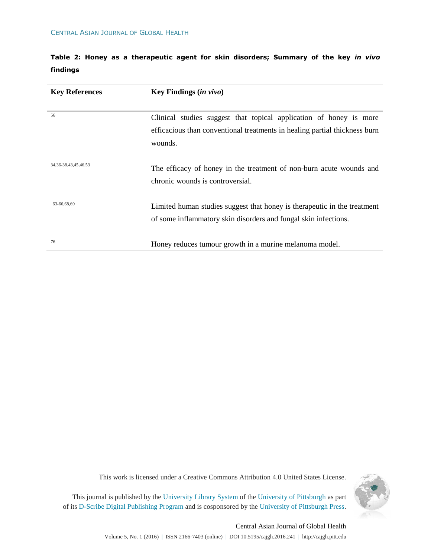# <span id="page-14-0"></span>**Table 2: Honey as a therapeutic agent for skin disorders; Summary of the key** *in vivo* **findings**

| <b>Key References</b>       | <b>Key Findings</b> (in vivo)                                              |  |  |  |  |
|-----------------------------|----------------------------------------------------------------------------|--|--|--|--|
|                             |                                                                            |  |  |  |  |
| 56                          | Clinical studies suggest that topical application of honey is more         |  |  |  |  |
|                             | efficacious than conventional treatments in healing partial thickness burn |  |  |  |  |
|                             | wounds.                                                                    |  |  |  |  |
| 34, 36 - 38, 43, 45, 46, 53 | The efficacy of honey in the treatment of non-burn acute wounds and        |  |  |  |  |
|                             | chronic wounds is controversial.                                           |  |  |  |  |
| 63-66,68,69                 | Limited human studies suggest that honey is therapeutic in the treatment   |  |  |  |  |
|                             | of some inflammatory skin disorders and fungal skin infections.            |  |  |  |  |
| 76                          | Honey reduces tumour growth in a murine melanoma model.                    |  |  |  |  |
|                             |                                                                            |  |  |  |  |

This work is licensed under a Creative Commons Attribution 4.0 United States License.



This journal is published by the University [Library System](http://www.library.pitt.edu/) of the [University of Pittsburgh](http://www.pitt.edu/) as part of its [D-Scribe Digital Publishing Program](http://www.library.pitt.edu/articles/digpubtype/index.html) and is cosponsored by the [University of Pittsburgh Press.](http://www.upress.pitt.edu/upressIndex.aspx)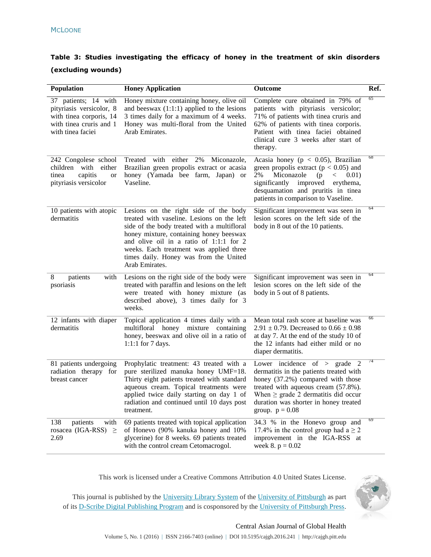<span id="page-15-0"></span>

|  |                    | Table 3: Studies investigating the efficacy of honey in the treatment of skin disorders |  |  |  |  |  |
|--|--------------------|-----------------------------------------------------------------------------------------|--|--|--|--|--|
|  | (excluding wounds) |                                                                                         |  |  |  |  |  |

| Population                                                                                                                  | <b>Honey Application</b>                                                                                                                                                                                                                                                                                                        | Outcome                                                                                                                                                                                                                                                         | Ref. |
|-----------------------------------------------------------------------------------------------------------------------------|---------------------------------------------------------------------------------------------------------------------------------------------------------------------------------------------------------------------------------------------------------------------------------------------------------------------------------|-----------------------------------------------------------------------------------------------------------------------------------------------------------------------------------------------------------------------------------------------------------------|------|
| 37 patients; 14 with<br>pityriasis versicolor, 8<br>with tinea corporis, 14<br>with tinea cruris and 1<br>with tinea faciei | Honey mixture containing honey, olive oil<br>and beeswax $(1:1:1)$ applied to the lesions<br>3 times daily for a maximum of 4 weeks.<br>Honey was multi-floral from the United<br>Arab Emirates.                                                                                                                                | Complete cure obtained in 79% of<br>patients with pityriasis versicolor;<br>71% of patients with tinea cruris and<br>62% of patients with tinea corporis.<br>Patient with tinea faciei obtained<br>clinical cure 3 weeks after start of<br>therapy.             | 65   |
| 242 Congolese school<br>children with either<br>capitis<br>tinea<br>or<br>pityriasis versicolor                             | Treated with either<br>2%<br>Miconazole,<br>Brazilian green propolis extract or acasia<br>honey (Yamada bee farm, Japan) or<br>Vaseline.                                                                                                                                                                                        | Acasia honey ( $p < 0.05$ ), Brazilian<br>green propolis extract ( $p < 0.05$ ) and<br>$2\%$<br>Miconazole<br>(p)<br>$\lt$<br>0.01)<br>significantly improved<br>erythema,<br>desquamation and pruritis in tinea<br>patients in comparison to Vaseline.         | 68   |
| 10 patients with atopic<br>dermatitis                                                                                       | Lesions on the right side of the body<br>treated with vaseline. Lesions on the left<br>side of the body treated with a multifloral<br>honey mixture, containing honey beeswax<br>and olive oil in a ratio of 1:1:1 for 2<br>weeks. Each treatment was applied three<br>times daily. Honey was from the United<br>Arab Emirates. | Significant improvement was seen in<br>lesion scores on the left side of the<br>body in 8 out of the 10 patients.                                                                                                                                               | 64   |
| 8<br>patients<br>with<br>psoriasis                                                                                          | Lesions on the right side of the body were<br>treated with paraffin and lesions on the left<br>were treated with honey mixture (as<br>described above), 3 times daily for 3<br>weeks.                                                                                                                                           | Significant improvement was seen in<br>lesion scores on the left side of the<br>body in 5 out of 8 patients.                                                                                                                                                    | 64   |
| 12 infants with diaper<br>dermatitis                                                                                        | Topical application 4 times daily with a<br>multifloral honey mixture containing<br>honey, beeswax and olive oil in a ratio of<br>1:1:1 for 7 days.                                                                                                                                                                             | Mean total rash score at baseline was<br>$2.91 \pm 0.79$ . Decreased to $0.66 \pm 0.98$<br>at day 7. At the end of the study 10 of<br>the 12 infants had either mild or no<br>diaper dermatitis.                                                                | 66   |
| 81 patients undergoing<br>radiation therapy for<br>breast cancer                                                            | Prophylatic treatment: 43 treated with a<br>pure sterilized manuka honey UMF=18.<br>Thirty eight patients treated with standard<br>aqueous cream. Topical treatments were<br>applied twice daily starting on day 1 of<br>radiation and continued until 10 days post<br>treatment.                                               | Lower incidence of $>$ grade 2<br>dermatitis in the patients treated with<br>honey (37.2%) compared with those<br>treated with aqueous cream (57.8%).<br>When $\geq$ grade 2 dermatitis did occur<br>duration was shorter in honey treated<br>group. $p = 0.08$ | 74   |
| 138<br>with<br>patients<br>rosacea (IGA-RSS) $\ge$<br>2.69                                                                  | 69 patients treated with topical application<br>of Honevo (90% kanuka honey and 10%<br>glycerine) for 8 weeks. 69 patients treated<br>with the control cream Cetomacrogol.                                                                                                                                                      | 34.3 % in the Honevo group and<br>17.4% in the control group had a $\geq$ 2<br>improvement in the IGA-RSS at<br>week 8. $p = 0.02$                                                                                                                              | 69   |

This work is licensed under a Creative Commons Attribution 4.0 United States License.

This journal is published by the [University Library System](http://www.library.pitt.edu/) of the [University of Pittsburgh](http://www.pitt.edu/) as part of its [D-Scribe Digital Publishing Program](http://www.library.pitt.edu/articles/digpubtype/index.html) and is cosponsored by the [University of Pittsburgh Press.](http://www.upress.pitt.edu/upressIndex.aspx)